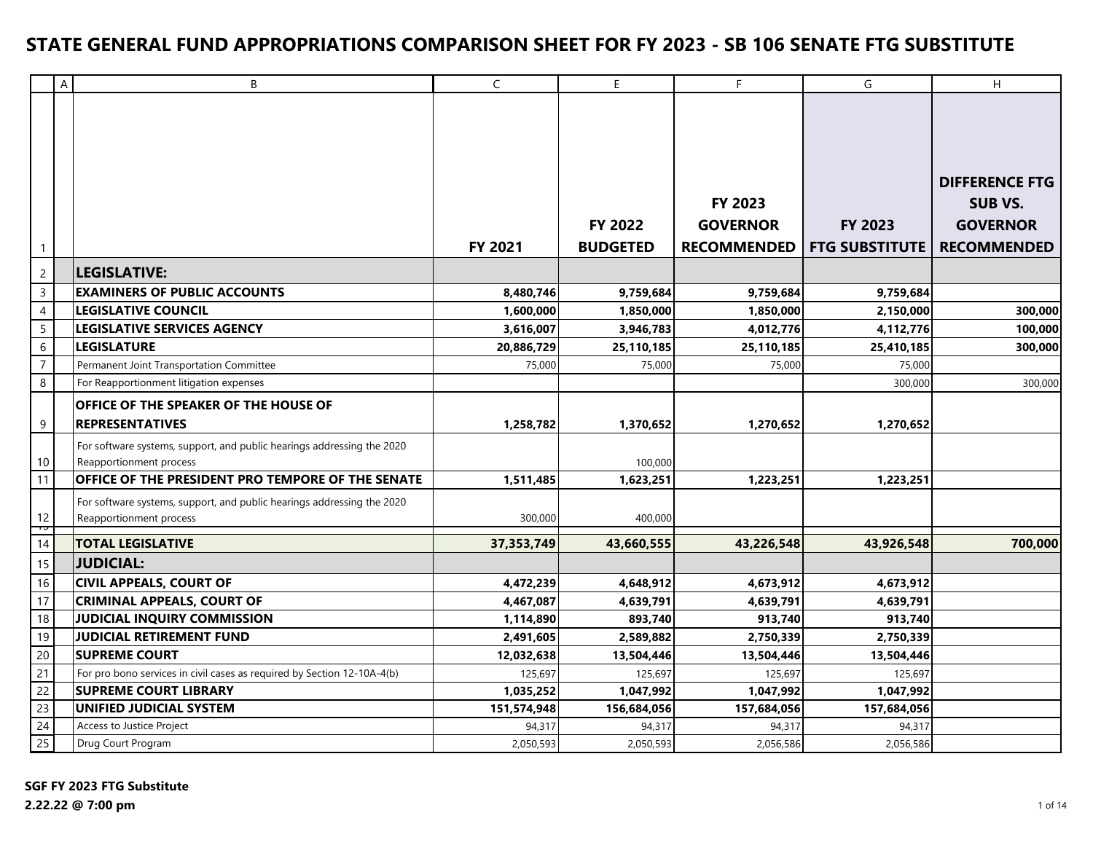|                 | $\boldsymbol{\mathsf{A}}$ | B                                                                                                 | $\mathsf C$ | E                          | F                                                | G                                | $\boldsymbol{\mathsf{H}}$                                                        |
|-----------------|---------------------------|---------------------------------------------------------------------------------------------------|-------------|----------------------------|--------------------------------------------------|----------------------------------|----------------------------------------------------------------------------------|
| $\mathbf{1}$    |                           |                                                                                                   | FY 2021     | FY 2022<br><b>BUDGETED</b> | FY 2023<br><b>GOVERNOR</b><br><b>RECOMMENDED</b> | FY 2023<br><b>FTG SUBSTITUTE</b> | <b>DIFFERENCE FTG</b><br><b>SUB VS.</b><br><b>GOVERNOR</b><br><b>RECOMMENDED</b> |
| $\overline{2}$  |                           | <b>LEGISLATIVE:</b>                                                                               |             |                            |                                                  |                                  |                                                                                  |
| $\mathsf{3}$    |                           | <b>EXAMINERS OF PUBLIC ACCOUNTS</b>                                                               | 8,480,746   | 9,759,684                  | 9,759,684                                        | 9,759,684                        |                                                                                  |
| $\overline{4}$  |                           | <b>LEGISLATIVE COUNCIL</b>                                                                        | 1,600,000   | 1,850,000                  | 1,850,000                                        | 2,150,000                        | 300,000                                                                          |
| $5\overline{)}$ |                           | <b>LEGISLATIVE SERVICES AGENCY</b>                                                                | 3,616,007   | 3,946,783                  | 4,012,776                                        | 4,112,776                        | 100,000                                                                          |
| $6\,$           |                           | <b>LEGISLATURE</b>                                                                                | 20,886,729  | 25,110,185                 | 25,110,185                                       | 25,410,185                       | 300,000                                                                          |
| $\overline{7}$  |                           | Permanent Joint Transportation Committee                                                          | 75,000      | 75,000                     | 75,000                                           | 75,000                           |                                                                                  |
| 8               |                           | For Reapportionment litigation expenses                                                           |             |                            |                                                  | 300,000                          | 300,000                                                                          |
| 9               |                           | <b>OFFICE OF THE SPEAKER OF THE HOUSE OF</b><br><b>REPRESENTATIVES</b>                            | 1,258,782   | 1,370,652                  | 1,270,652                                        | 1,270,652                        |                                                                                  |
| $10$            |                           | For software systems, support, and public hearings addressing the 2020<br>Reapportionment process |             | 100,000                    |                                                  |                                  |                                                                                  |
| 11              |                           | OFFICE OF THE PRESIDENT PRO TEMPORE OF THE SENATE                                                 | 1,511,485   | 1,623,251                  | 1,223,251                                        | 1,223,251                        |                                                                                  |
| $12\,$<br>þ     |                           | For software systems, support, and public hearings addressing the 2020<br>Reapportionment process | 300,000     | 400,000                    |                                                  |                                  |                                                                                  |
| $\overline{14}$ |                           | <b>TOTAL LEGISLATIVE</b>                                                                          | 37,353,749  | 43,660,555                 | 43,226,548                                       | 43,926,548                       | 700,000                                                                          |
| 15              |                           | <b>JUDICIAL:</b>                                                                                  |             |                            |                                                  |                                  |                                                                                  |
| 16              |                           | <b>CIVIL APPEALS, COURT OF</b>                                                                    | 4,472,239   | 4,648,912                  | 4,673,912                                        | 4,673,912                        |                                                                                  |
| 17              |                           | <b>CRIMINAL APPEALS, COURT OF</b>                                                                 | 4,467,087   | 4,639,791                  | 4,639,791                                        | 4,639,791                        |                                                                                  |
| 18              |                           | JUDICIAL INQUIRY COMMISSION                                                                       | 1,114,890   | 893,740                    | 913,740                                          | 913,740                          |                                                                                  |
| 19              |                           | <b>JUDICIAL RETIREMENT FUND</b>                                                                   | 2,491,605   | 2,589,882                  | 2,750,339                                        | 2,750,339                        |                                                                                  |
| 20              |                           | <b>SUPREME COURT</b>                                                                              | 12,032,638  | 13,504,446                 | 13,504,446                                       | 13,504,446                       |                                                                                  |
| 21              |                           | For pro bono services in civil cases as required by Section 12-10A-4(b)                           | 125,697     | 125,697                    | 125,697                                          | 125,697                          |                                                                                  |
| 22              |                           | <b>SUPREME COURT LIBRARY</b>                                                                      | 1,035,252   | 1,047,992                  | 1,047,992                                        | 1,047,992                        |                                                                                  |
| 23              |                           | UNIFIED JUDICIAL SYSTEM                                                                           | 151,574,948 | 156,684,056                | 157,684,056                                      | 157,684,056                      |                                                                                  |
| 24              |                           | Access to Justice Project                                                                         | 94,317      | 94,317                     | 94,317                                           | 94,317                           |                                                                                  |
| 25              |                           | Drug Court Program                                                                                | 2,050,593   | 2,050,593                  | 2,056,586                                        | 2,056,586                        |                                                                                  |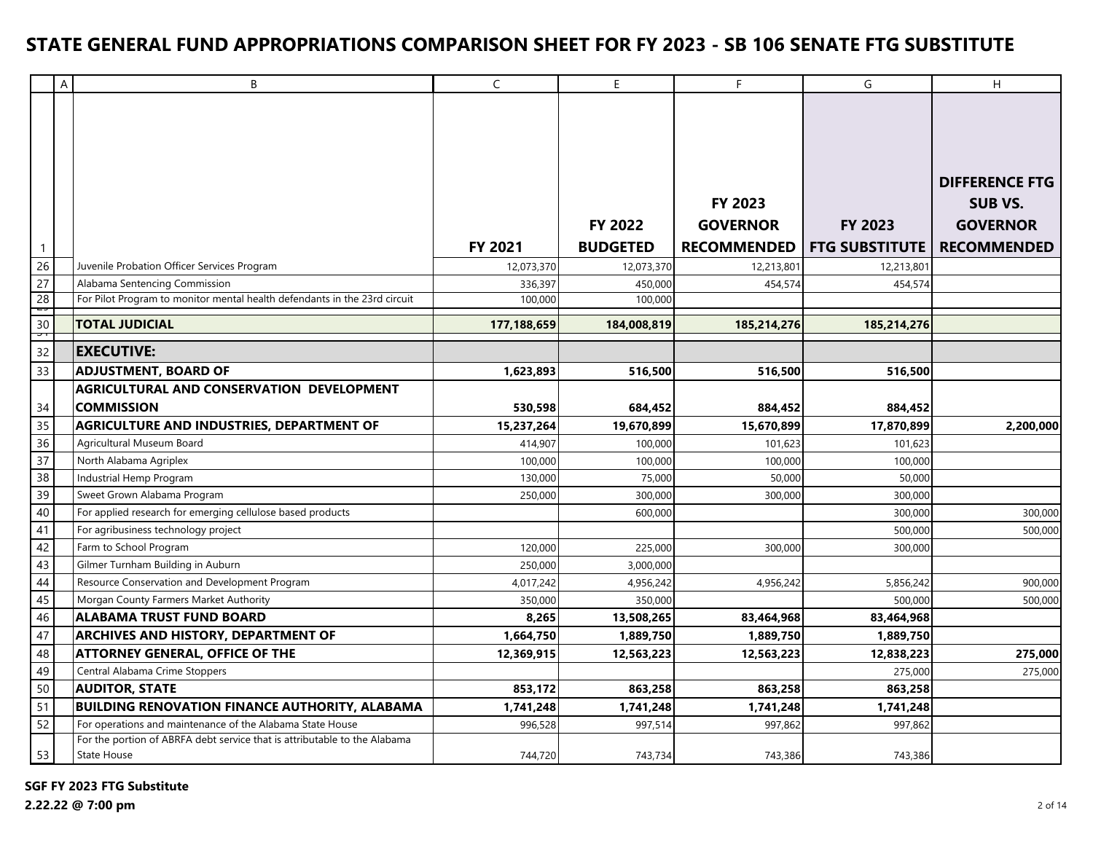|                 | A | B                                                                                        | $\mathsf{C}$ | E               | F                  | G                     | H                     |
|-----------------|---|------------------------------------------------------------------------------------------|--------------|-----------------|--------------------|-----------------------|-----------------------|
|                 |   |                                                                                          |              |                 |                    |                       |                       |
|                 |   |                                                                                          |              |                 |                    |                       |                       |
|                 |   |                                                                                          |              |                 |                    |                       |                       |
|                 |   |                                                                                          |              |                 |                    |                       |                       |
|                 |   |                                                                                          |              |                 |                    |                       | <b>DIFFERENCE FTG</b> |
|                 |   |                                                                                          |              |                 | FY 2023            |                       | <b>SUB VS.</b>        |
|                 |   |                                                                                          |              | <b>FY 2022</b>  | <b>GOVERNOR</b>    | <b>FY 2023</b>        | <b>GOVERNOR</b>       |
|                 |   |                                                                                          |              |                 |                    |                       |                       |
| $\mathbf{1}$    |   |                                                                                          | FY 2021      | <b>BUDGETED</b> | <b>RECOMMENDED</b> | <b>FTG SUBSTITUTE</b> | <b>RECOMMENDED</b>    |
| 26              |   | Juvenile Probation Officer Services Program                                              | 12,073,370   | 12,073,370      | 12,213,801         | 12,213,801            |                       |
| $\overline{27}$ |   | Alabama Sentencing Commission                                                            | 336,397      | 450,000         | 454,574            | 454,574               |                       |
| 28<br>ᅮ         |   | For Pilot Program to monitor mental health defendants in the 23rd circuit                | 100,000      | 100,000         |                    |                       |                       |
| 30<br>᠊ᢦ᠇       |   | <b>TOTAL JUDICIAL</b>                                                                    | 177,188,659  | 184,008,819     | 185,214,276        | 185,214,276           |                       |
| 32              |   | <b>EXECUTIVE:</b>                                                                        |              |                 |                    |                       |                       |
| 33              |   | <b>ADJUSTMENT, BOARD OF</b>                                                              | 1,623,893    | 516,500         | 516,500            | 516,500               |                       |
|                 |   | AGRICULTURAL AND CONSERVATION DEVELOPMENT                                                |              |                 |                    |                       |                       |
| 34              |   | <b>COMMISSION</b>                                                                        | 530,598      | 684,452         | 884,452            | 884,452               |                       |
| $\overline{35}$ |   | AGRICULTURE AND INDUSTRIES, DEPARTMENT OF                                                | 15,237,264   | 19,670,899      | 15,670,899         | 17,870,899            | 2,200,000             |
| 36              |   | Agricultural Museum Board                                                                | 414,907      | 100,000         | 101,623            | 101,623               |                       |
| 37              |   | North Alabama Agriplex                                                                   | 100,000      | 100,000         | 100,000            | 100,000               |                       |
| 38              |   | Industrial Hemp Program                                                                  | 130,000      | 75,000          | 50,000             | 50,000                |                       |
| 39              |   | Sweet Grown Alabama Program                                                              | 250,000      | 300,000         | 300,000            | 300,000               |                       |
| 40              |   | For applied research for emerging cellulose based products                               |              | 600,000         |                    | 300,000               | 300,000               |
| 41              |   | For agribusiness technology project                                                      |              |                 |                    | 500,000               | 500,000               |
| 42              |   | Farm to School Program                                                                   | 120,000      | 225,000         | 300,000            | 300,000               |                       |
| 43              |   | Gilmer Turnham Building in Auburn                                                        | 250,000      | 3,000,000       |                    |                       |                       |
| 44              |   | Resource Conservation and Development Program                                            | 4,017,242    | 4,956,242       | 4,956,242          | 5,856,242             | 900,000               |
| 45              |   | Morgan County Farmers Market Authority                                                   | 350,000      | 350,000         |                    | 500,000               | 500,000               |
| 46              |   | <b>ALABAMA TRUST FUND BOARD</b>                                                          | 8,265        | 13,508,265      | 83,464,968         | 83,464,968            |                       |
| 47              |   | <b>ARCHIVES AND HISTORY, DEPARTMENT OF</b>                                               | 1,664,750    | 1,889,750       | 1,889,750          | 1,889,750             |                       |
| 48              |   | <b>ATTORNEY GENERAL, OFFICE OF THE</b>                                                   | 12,369,915   | 12,563,223      | 12,563,223         | 12,838,223            | 275,000               |
| 49              |   | Central Alabama Crime Stoppers                                                           |              |                 |                    | 275,000               | 275,000               |
| 50              |   | <b>AUDITOR, STATE</b>                                                                    | 853,172      | 863,258         | 863,258            | 863,258               |                       |
| 51              |   | <b>BUILDING RENOVATION FINANCE AUTHORITY, ALABAMA</b>                                    | 1,741,248    | 1,741,248       | 1,741,248          | 1,741,248             |                       |
| 52              |   | For operations and maintenance of the Alabama State House                                | 996,528      | 997,514         | 997,862            | 997,862               |                       |
| 53              |   | For the portion of ABRFA debt service that is attributable to the Alabama<br>State House | 744,720      | 743,734         | 743,386            | 743,386               |                       |
|                 |   |                                                                                          |              |                 |                    |                       |                       |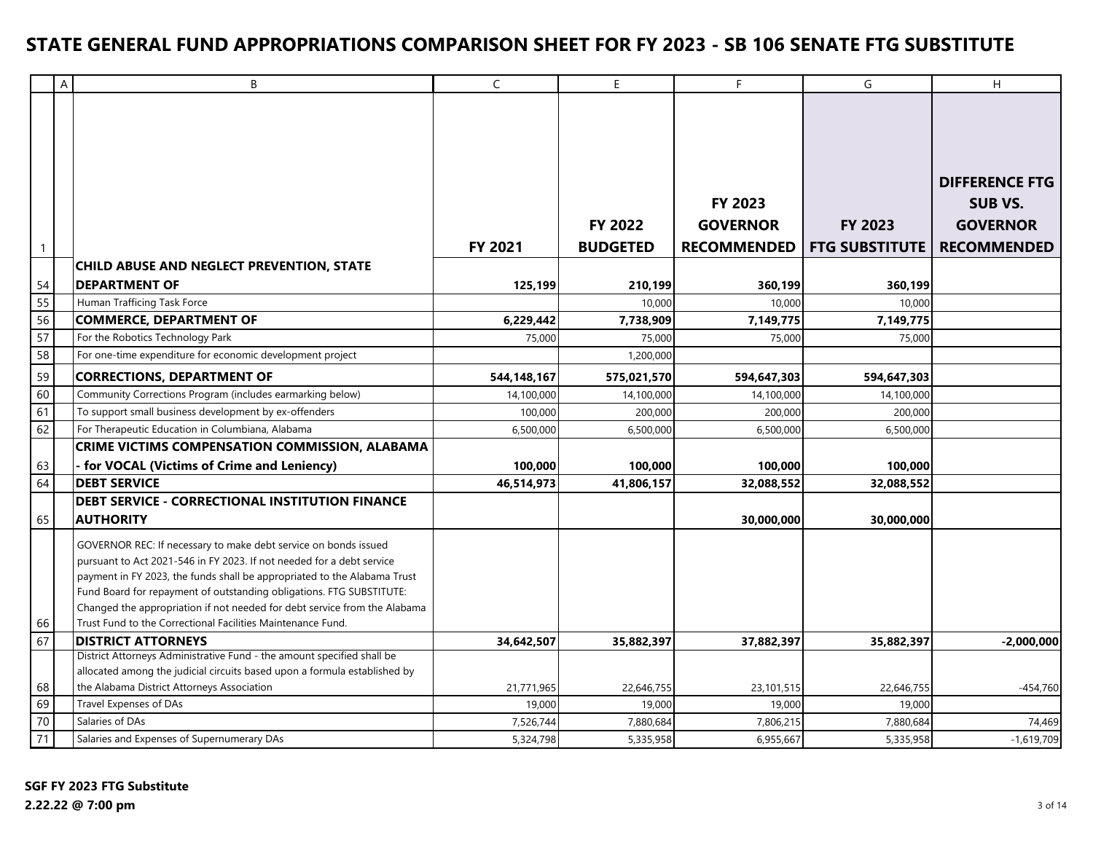|              | Α | B                                                                                                   | $\mathsf{C}$ | E.              | F                  | G                     | H                     |
|--------------|---|-----------------------------------------------------------------------------------------------------|--------------|-----------------|--------------------|-----------------------|-----------------------|
|              |   |                                                                                                     |              |                 |                    |                       |                       |
|              |   |                                                                                                     |              |                 |                    |                       |                       |
|              |   |                                                                                                     |              |                 |                    |                       | <b>DIFFERENCE FTG</b> |
|              |   |                                                                                                     |              |                 | <b>FY 2023</b>     |                       | <b>SUB VS.</b>        |
|              |   |                                                                                                     |              | <b>FY 2022</b>  |                    | <b>FY 2023</b>        |                       |
|              |   |                                                                                                     |              |                 | <b>GOVERNOR</b>    |                       | <b>GOVERNOR</b>       |
| $\mathbf{1}$ |   |                                                                                                     | FY 2021      | <b>BUDGETED</b> | <b>RECOMMENDED</b> | <b>FTG SUBSTITUTE</b> | <b>RECOMMENDED</b>    |
|              |   | <b>CHILD ABUSE AND NEGLECT PREVENTION, STATE</b>                                                    |              |                 |                    |                       |                       |
| 54           |   | <b>DEPARTMENT OF</b>                                                                                | 125,199      | 210,199         | 360,199            | 360,199               |                       |
| 55           |   | Human Trafficing Task Force                                                                         |              | 10,000          | 10,000             | 10,000                |                       |
| 56           |   | <b>COMMERCE, DEPARTMENT OF</b>                                                                      | 6,229,442    | 7,738,909       | 7,149,775          | 7,149,775             |                       |
| 57           |   | For the Robotics Technology Park                                                                    | 75,000       | 75,000          | 75,000             | 75,000                |                       |
| 58           |   | For one-time expenditure for economic development project                                           |              | 1,200,000       |                    |                       |                       |
| 59           |   | <b>CORRECTIONS, DEPARTMENT OF</b>                                                                   | 544,148,167  | 575,021,570     | 594,647,303        | 594,647,303           |                       |
| 60           |   | Community Corrections Program (includes earmarking below)                                           | 14,100,000   | 14,100,000      | 14,100,000         | 14,100,000            |                       |
| 61           |   | To support small business development by ex-offenders                                               | 100,000      | 200,000         | 200,000            | 200,000               |                       |
| 62           |   | For Therapeutic Education in Columbiana, Alabama                                                    | 6,500,000    | 6,500,000       | 6,500,000          | 6,500,000             |                       |
|              |   | CRIME VICTIMS COMPENSATION COMMISSION, ALABAMA                                                      |              |                 |                    |                       |                       |
| 63           |   | - for VOCAL (Victims of Crime and Leniency)                                                         | 100.000      | 100,000         | 100.000            | 100,000               |                       |
| 64           |   | <b>DEBT SERVICE</b>                                                                                 | 46,514,973   | 41,806,157      | 32,088,552         | 32,088,552            |                       |
|              |   | <b>DEBT SERVICE - CORRECTIONAL INSTITUTION FINANCE</b>                                              |              |                 |                    |                       |                       |
| 65           |   | <b>AUTHORITY</b>                                                                                    |              |                 | 30,000,000         | 30,000,000            |                       |
|              |   | GOVERNOR REC: If necessary to make debt service on bonds issued                                     |              |                 |                    |                       |                       |
|              |   | pursuant to Act 2021-546 in FY 2023. If not needed for a debt service                               |              |                 |                    |                       |                       |
|              |   | payment in FY 2023, the funds shall be appropriated to the Alabama Trust                            |              |                 |                    |                       |                       |
|              |   | Fund Board for repayment of outstanding obligations. FTG SUBSTITUTE:                                |              |                 |                    |                       |                       |
|              |   | Changed the appropriation if not needed for debt service from the Alabama                           |              |                 |                    |                       |                       |
| 66           |   | Trust Fund to the Correctional Facilities Maintenance Fund.                                         |              |                 |                    |                       |                       |
| 67           |   | <b>DISTRICT ATTORNEYS</b><br>District Attorneys Administrative Fund - the amount specified shall be | 34.642.507   | 35,882,397      | 37.882.397         | 35,882,397            | $-2.000.000$          |
|              |   | allocated among the judicial circuits based upon a formula established by                           |              |                 |                    |                       |                       |
| 68           |   | the Alabama District Attorneys Association                                                          | 21,771,965   | 22,646,755      | 23,101,515         | 22,646,755            | $-454,760$            |
| 69           |   | Travel Expenses of DAs                                                                              | 19,000       | 19,000          | 19,000             | 19,000                |                       |
| 70           |   | Salaries of DAs                                                                                     | 7,526,744    | 7,880,684       | 7,806,215          | 7,880,684             | 74,469                |
| 71           |   | Salaries and Expenses of Supernumerary DAs                                                          | 5,324,798    | 5,335,958       | 6,955,667          | 5,335,958             | $-1,619,709$          |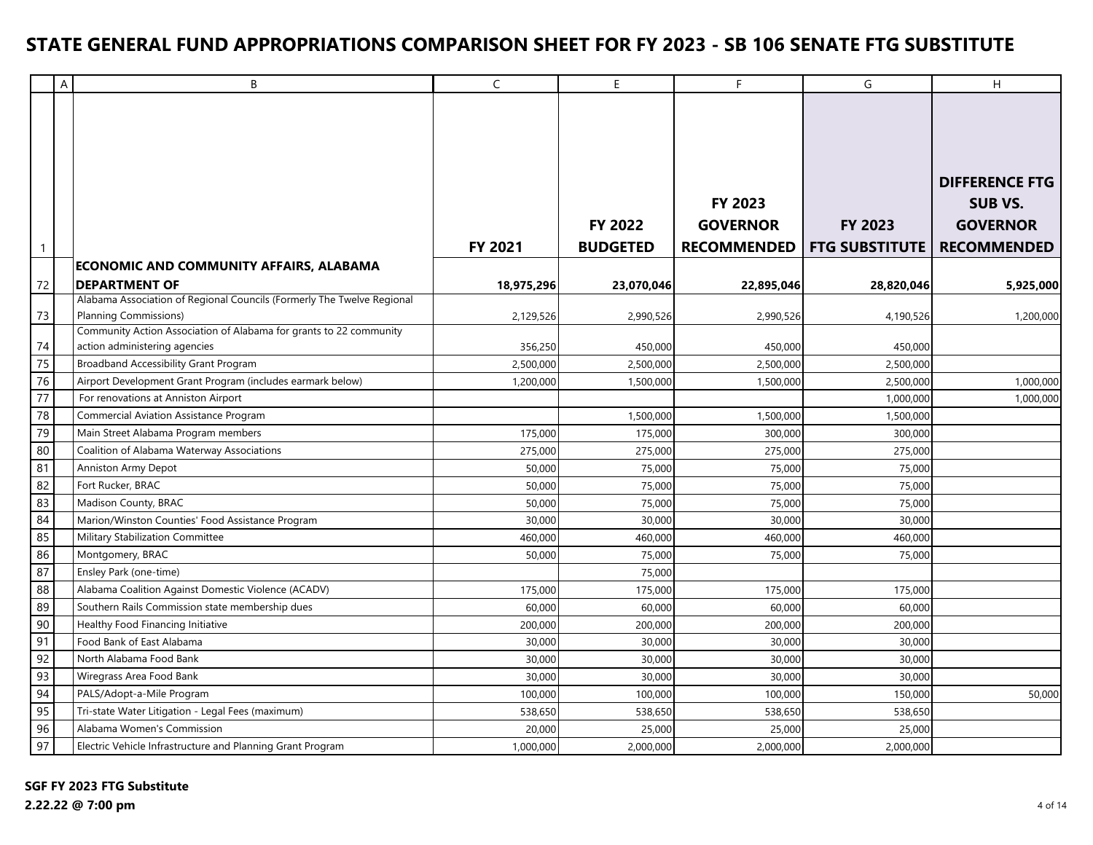|                 | $\boldsymbol{\mathsf{A}}$ | B                                                                                                      | $\mathsf C$ | $\mathsf E$                | F                                                       | G                                | H                                                                                |
|-----------------|---------------------------|--------------------------------------------------------------------------------------------------------|-------------|----------------------------|---------------------------------------------------------|----------------------------------|----------------------------------------------------------------------------------|
| $\overline{1}$  |                           |                                                                                                        | FY 2021     | FY 2022<br><b>BUDGETED</b> | <b>FY 2023</b><br><b>GOVERNOR</b><br><b>RECOMMENDED</b> | FY 2023<br><b>FTG SUBSTITUTE</b> | <b>DIFFERENCE FTG</b><br><b>SUB VS.</b><br><b>GOVERNOR</b><br><b>RECOMMENDED</b> |
|                 |                           | <b>ECONOMIC AND COMMUNITY AFFAIRS, ALABAMA</b>                                                         |             |                            |                                                         |                                  |                                                                                  |
| 72              |                           | <b>DEPARTMENT OF</b>                                                                                   | 18,975,296  | 23,070,046                 | 22,895,046                                              | 28,820,046                       | 5,925,000                                                                        |
| 73              |                           | Alabama Association of Regional Councils (Formerly The Twelve Regional<br><b>Planning Commissions)</b> | 2,129,526   | 2,990,526                  | 2,990,526                                               | 4,190,526                        | 1,200,000                                                                        |
|                 |                           | Community Action Association of Alabama for grants to 22 community                                     |             |                            |                                                         |                                  |                                                                                  |
| 74              |                           | action administering agencies                                                                          | 356,250     | 450,000                    | 450,000                                                 | 450,000                          |                                                                                  |
| 75              |                           | <b>Broadband Accessibility Grant Program</b>                                                           | 2,500,000   | 2,500,000                  | 2,500,000                                               | 2,500,000                        |                                                                                  |
| 76              |                           | Airport Development Grant Program (includes earmark below)                                             | 1,200,000   | 1,500,000                  | 1,500,000                                               | 2,500,000                        | 1,000,000                                                                        |
| $\overline{77}$ |                           | For renovations at Anniston Airport                                                                    |             |                            |                                                         | 1,000,000                        | 1,000,000                                                                        |
| 78              |                           | <b>Commercial Aviation Assistance Program</b>                                                          |             | 1,500,000                  | 1,500,000                                               | 1,500,000                        |                                                                                  |
| 79              |                           | Main Street Alabama Program members                                                                    | 175,000     | 175,000                    | 300,000                                                 | 300,000                          |                                                                                  |
| 80              |                           | Coalition of Alabama Waterway Associations                                                             | 275,000     | 275,000                    | 275,000                                                 | 275,000                          |                                                                                  |
| 81              |                           | Anniston Army Depot                                                                                    | 50,000      | 75,000                     | 75,000                                                  | 75,000                           |                                                                                  |
| 82              |                           | Fort Rucker, BRAC                                                                                      | 50,000      | 75,000                     | 75,000                                                  | 75,000                           |                                                                                  |
| 83              |                           | Madison County, BRAC                                                                                   | 50,000      | 75,000                     | 75,000                                                  | 75,000                           |                                                                                  |
| 84              |                           | Marion/Winston Counties' Food Assistance Program                                                       | 30,000      | 30,000                     | 30,000                                                  | 30,000                           |                                                                                  |
| 85              |                           | Military Stabilization Committee                                                                       | 460,000     | 460,000                    | 460,000                                                 | 460,000                          |                                                                                  |
| 86              |                           | Montgomery, BRAC                                                                                       | 50,000      | 75,000                     | 75,000                                                  | 75,000                           |                                                                                  |
| 87              |                           | Ensley Park (one-time)                                                                                 |             | 75,000                     |                                                         |                                  |                                                                                  |
| 88              |                           | Alabama Coalition Against Domestic Violence (ACADV)                                                    | 175,000     | 175,000                    | 175,000                                                 | 175,000                          |                                                                                  |
| 89              |                           | Southern Rails Commission state membership dues                                                        | 60,000      | 60,000                     | 60,000                                                  | 60,000                           |                                                                                  |
| 90              |                           | Healthy Food Financing Initiative                                                                      | 200,000     | 200,000                    | 200,000                                                 | 200,000                          |                                                                                  |
| 91              |                           | Food Bank of East Alabama                                                                              | 30,000      | 30,000                     | 30,000                                                  | 30,000                           |                                                                                  |
| 92              |                           | North Alabama Food Bank                                                                                | 30,000      | 30,000                     | 30,000                                                  | 30,000                           |                                                                                  |
| 93              |                           | Wiregrass Area Food Bank                                                                               | 30,000      | 30,000                     | 30,000                                                  | 30,000                           |                                                                                  |
| 94              |                           | PALS/Adopt-a-Mile Program                                                                              | 100,000     | 100,000                    | 100,000                                                 | 150,000                          | 50,000                                                                           |
| 95              |                           | Tri-state Water Litigation - Legal Fees (maximum)                                                      | 538,650     | 538,650                    | 538,650                                                 | 538,650                          |                                                                                  |
| 96              |                           | Alabama Women's Commission                                                                             | 20,000      | 25,000                     | 25,000                                                  | 25,000                           |                                                                                  |
| 97              |                           | Electric Vehicle Infrastructure and Planning Grant Program                                             | 1,000,000   | 2,000,000                  | 2,000,000                                               | 2,000,000                        |                                                                                  |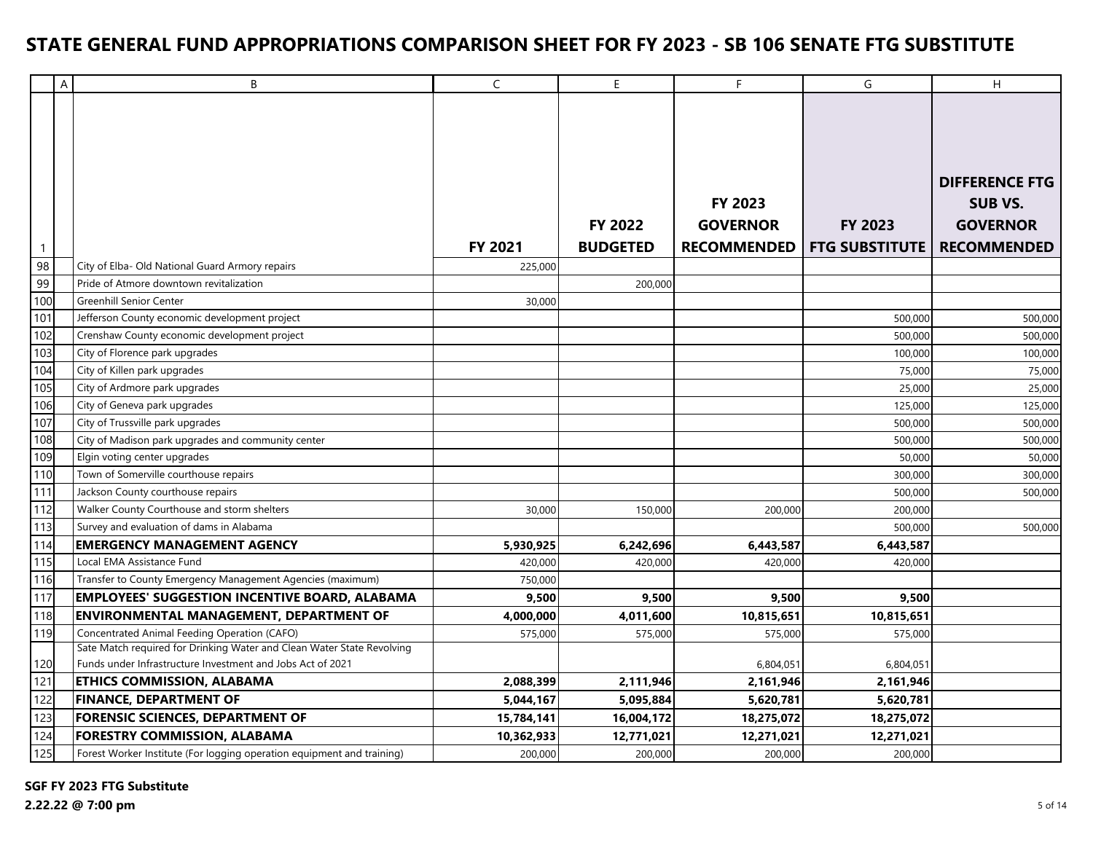|                  | $\overline{A}$ | B                                                                      | $\mathsf{C}$ | E               | F                  | G                     | H                     |
|------------------|----------------|------------------------------------------------------------------------|--------------|-----------------|--------------------|-----------------------|-----------------------|
|                  |                |                                                                        |              |                 |                    |                       |                       |
|                  |                |                                                                        |              |                 |                    |                       |                       |
|                  |                |                                                                        |              |                 |                    |                       |                       |
|                  |                |                                                                        |              |                 |                    |                       |                       |
|                  |                |                                                                        |              |                 |                    |                       | <b>DIFFERENCE FTG</b> |
|                  |                |                                                                        |              |                 | <b>FY 2023</b>     |                       | <b>SUB VS.</b>        |
|                  |                |                                                                        |              |                 |                    |                       |                       |
|                  |                |                                                                        |              | <b>FY 2022</b>  | <b>GOVERNOR</b>    | <b>FY 2023</b>        | <b>GOVERNOR</b>       |
| $\mathbf{1}$     |                |                                                                        | FY 2021      | <b>BUDGETED</b> | <b>RECOMMENDED</b> | <b>FTG SUBSTITUTE</b> | <b>RECOMMENDED</b>    |
| 98               |                | City of Elba- Old National Guard Armory repairs                        | 225,000      |                 |                    |                       |                       |
| 99               |                | Pride of Atmore downtown revitalization                                |              | 200,000         |                    |                       |                       |
| 100              |                | <b>Greenhill Senior Center</b>                                         | 30,000       |                 |                    |                       |                       |
| 101              |                | Jefferson County economic development project                          |              |                 |                    | 500,000               | 500,000               |
| 102              |                | Crenshaw County economic development project                           |              |                 |                    | 500,000               | 500,000               |
| 103              |                | City of Florence park upgrades                                         |              |                 |                    | 100,000               | 100,000               |
| 104              |                | City of Killen park upgrades                                           |              |                 |                    | 75,000                | 75,000                |
| 105              |                | City of Ardmore park upgrades                                          |              |                 |                    | 25,000                | 25,000                |
| 106              |                | City of Geneva park upgrades                                           |              |                 |                    | 125,000               | 125,000               |
| 107              |                | City of Trussville park upgrades                                       |              |                 |                    | 500,000               | 500,000               |
| 108              |                | City of Madison park upgrades and community center                     |              |                 |                    | 500,000               | 500,000               |
| 109              |                | Elgin voting center upgrades                                           |              |                 |                    | 50,000                | 50,000                |
| $\overline{110}$ |                | Town of Somerville courthouse repairs                                  |              |                 |                    | 300,000               | 300,000               |
| 111              |                | Jackson County courthouse repairs                                      |              |                 |                    | 500,000               | 500,000               |
| $\overline{112}$ |                | Walker County Courthouse and storm shelters                            | 30,000       | 150,000         | 200,000            | 200,000               |                       |
| 113              |                | Survey and evaluation of dams in Alabama                               |              |                 |                    | 500,000               | 500,000               |
| 114              |                | <b>EMERGENCY MANAGEMENT AGENCY</b>                                     | 5,930,925    | 6,242,696       | 6,443,587          | 6,443,587             |                       |
| 115              |                | Local EMA Assistance Fund                                              | 420,000      | 420,000         | 420,000            | 420,000               |                       |
| 116              |                | Transfer to County Emergency Management Agencies (maximum)             | 750,000      |                 |                    |                       |                       |
| 117              |                | <b>EMPLOYEES' SUGGESTION INCENTIVE BOARD, ALABAMA</b>                  | 9,500        | 9,500           | 9,500              | 9,500                 |                       |
| 118              |                | <b>ENVIRONMENTAL MANAGEMENT, DEPARTMENT OF</b>                         | 4,000,000    | 4,011,600       | 10,815,651         | 10,815,651            |                       |
| 119              |                | Concentrated Animal Feeding Operation (CAFO)                           | 575,000      | 575,000         | 575,000            | 575,000               |                       |
|                  |                | Sate Match required for Drinking Water and Clean Water State Revolving |              |                 |                    |                       |                       |
| 120              |                | Funds under Infrastructure Investment and Jobs Act of 2021             |              |                 | 6,804,051          | 6,804,051             |                       |
| $\sqrt{121}$     |                | <b>ETHICS COMMISSION, ALABAMA</b>                                      | 2,088,399    | 2,111,946       | 2,161,946          | 2,161,946             |                       |
| 122              |                | <b>FINANCE, DEPARTMENT OF</b>                                          | 5,044,167    | 5,095,884       | 5,620,781          | 5,620,781             |                       |
| 123              |                | <b>FORENSIC SCIENCES, DEPARTMENT OF</b>                                | 15,784,141   | 16,004,172      | 18,275,072         | 18,275,072            |                       |
| 124              |                | <b>FORESTRY COMMISSION, ALABAMA</b>                                    | 10,362,933   | 12,771,021      | 12,271,021         | 12,271,021            |                       |
| 125              |                | Forest Worker Institute (For logging operation equipment and training) | 200,000      | 200,000         | 200,000            | 200,000               |                       |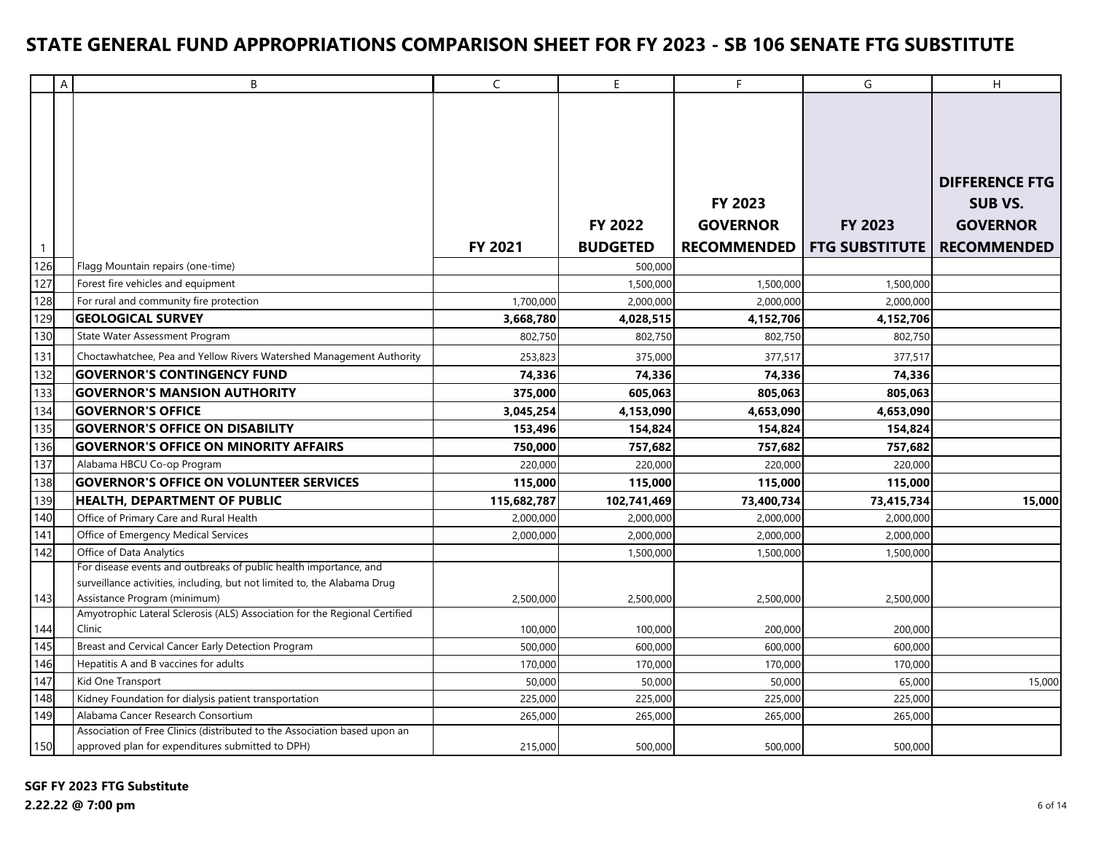|                     | A | B                                                                                                        | $\mathsf{C}$           | E                    | F                      | G                     | H                     |
|---------------------|---|----------------------------------------------------------------------------------------------------------|------------------------|----------------------|------------------------|-----------------------|-----------------------|
|                     |   |                                                                                                          |                        |                      |                        |                       |                       |
|                     |   |                                                                                                          |                        |                      |                        |                       |                       |
|                     |   |                                                                                                          |                        |                      |                        |                       |                       |
|                     |   |                                                                                                          |                        |                      |                        |                       |                       |
|                     |   |                                                                                                          |                        |                      |                        |                       | <b>DIFFERENCE FTG</b> |
|                     |   |                                                                                                          |                        |                      | <b>FY 2023</b>         |                       | <b>SUB VS.</b>        |
|                     |   |                                                                                                          |                        | <b>FY 2022</b>       | <b>GOVERNOR</b>        | FY 2023               | <b>GOVERNOR</b>       |
|                     |   |                                                                                                          | FY 2021                | <b>BUDGETED</b>      | <b>RECOMMENDED</b>     | <b>FTG SUBSTITUTE</b> | <b>RECOMMENDED</b>    |
| $\mathbf{1}$<br>126 |   |                                                                                                          |                        |                      |                        |                       |                       |
| 127                 |   | Flagg Mountain repairs (one-time)                                                                        |                        | 500,000              |                        |                       |                       |
| 128                 |   | Forest fire vehicles and equipment                                                                       |                        | 1,500,000            | 1,500,000              | 1,500,000             |                       |
|                     |   | For rural and community fire protection<br><b>GEOLOGICAL SURVEY</b>                                      | 1,700,000<br>3,668,780 | 2,000,000            | 2,000,000<br>4,152,706 | 2,000,000             |                       |
| 129<br>130          |   | State Water Assessment Program                                                                           | 802,750                | 4,028,515<br>802,750 | 802,750                | 4,152,706<br>802,750  |                       |
|                     |   |                                                                                                          |                        |                      |                        |                       |                       |
| 131                 |   | Choctawhatchee, Pea and Yellow Rivers Watershed Management Authority                                     | 253,823                | 375,000              | 377,517                | 377,517               |                       |
| 132                 |   | <b>GOVERNOR'S CONTINGENCY FUND</b>                                                                       | 74,336                 | 74,336               | 74,336                 | 74,336                |                       |
| 133                 |   | <b>GOVERNOR'S MANSION AUTHORITY</b>                                                                      | 375,000                | 605,063              | 805,063                | 805.063               |                       |
| 134                 |   | <b>GOVERNOR'S OFFICE</b>                                                                                 | 3,045,254              | 4,153,090            | 4,653,090              | 4,653,090             |                       |
| 135                 |   | <b>GOVERNOR'S OFFICE ON DISABILITY</b>                                                                   | 153,496                | 154,824              | 154,824                | 154,824               |                       |
| 136                 |   | <b>GOVERNOR'S OFFICE ON MINORITY AFFAIRS</b>                                                             | 750.000                | 757,682              | 757,682                | 757,682               |                       |
| 137                 |   | Alabama HBCU Co-op Program                                                                               | 220,000                | 220,000              | 220,000                | 220,000               |                       |
| 138                 |   | <b>GOVERNOR'S OFFICE ON VOLUNTEER SERVICES</b>                                                           | 115,000                | 115,000              | 115,000                | 115,000               |                       |
| 139                 |   | <b>HEALTH, DEPARTMENT OF PUBLIC</b>                                                                      | 115,682,787            | 102,741,469          | 73,400,734             | 73,415,734            | 15,000                |
| 140                 |   | Office of Primary Care and Rural Health                                                                  | 2,000,000              | 2,000,000            | 2,000,000              | 2,000,000             |                       |
| 141                 |   | Office of Emergency Medical Services                                                                     | 2,000,000              | 2,000,000            | 2,000,000              | 2,000,000             |                       |
| 142                 |   | Office of Data Analytics                                                                                 |                        | 1,500,000            | 1,500,000              | 1,500,000             |                       |
|                     |   | For disease events and outbreaks of public health importance, and                                        |                        |                      |                        |                       |                       |
| 143                 |   | surveillance activities, including, but not limited to, the Alabama Drug<br>Assistance Program (minimum) |                        |                      |                        |                       |                       |
|                     |   | Amyotrophic Lateral Sclerosis (ALS) Association for the Regional Certified                               | 2,500,000              | 2,500,000            | 2,500,000              | 2,500,000             |                       |
| 144                 |   | Clinic                                                                                                   | 100,000                | 100,000              | 200,000                | 200,000               |                       |
| 145                 |   | Breast and Cervical Cancer Early Detection Program                                                       | 500,000                | 600,000              | 600,000                | 600,000               |                       |
| 146                 |   | Hepatitis A and B vaccines for adults                                                                    | 170,000                | 170,000              | 170,000                | 170,000               |                       |
| 147                 |   | Kid One Transport                                                                                        | 50,000                 | 50,000               | 50,000                 | 65,000                | 15,000                |
| 148                 |   | Kidney Foundation for dialysis patient transportation                                                    | 225,000                | 225,000              | 225,000                | 225,000               |                       |
| 149                 |   | Alabama Cancer Research Consortium                                                                       | 265,000                | 265,000              | 265,000                | 265,000               |                       |
|                     |   | Association of Free Clinics (distributed to the Association based upon an                                |                        |                      |                        |                       |                       |
| 150                 |   | approved plan for expenditures submitted to DPH)                                                         | 215,000                | 500,000              | 500,000                | 500,000               |                       |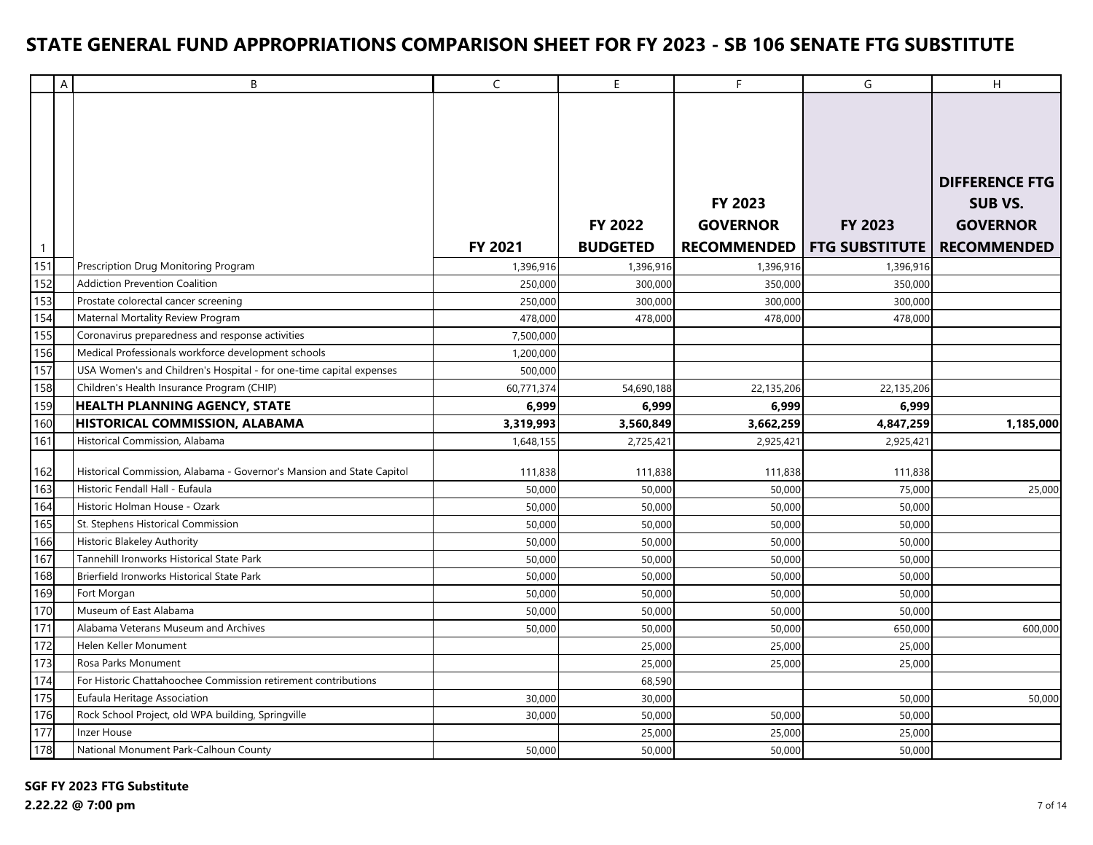|              | A | B                                                                     | $\mathsf C$ | $\mathsf E$                       | F.                                | G                                              | H                                                                                |
|--------------|---|-----------------------------------------------------------------------|-------------|-----------------------------------|-----------------------------------|------------------------------------------------|----------------------------------------------------------------------------------|
| $\mathbf{1}$ |   |                                                                       | FY 2021     | <b>FY 2022</b><br><b>BUDGETED</b> | <b>FY 2023</b><br><b>GOVERNOR</b> | FY 2023<br><b>RECOMMENDED   FTG SUBSTITUTE</b> | <b>DIFFERENCE FTG</b><br><b>SUB VS.</b><br><b>GOVERNOR</b><br><b>RECOMMENDED</b> |
| 151          |   | Prescription Drug Monitoring Program                                  | 1,396,916   | 1,396,916                         | 1,396,916                         | 1,396,916                                      |                                                                                  |
| 152          |   | <b>Addiction Prevention Coalition</b>                                 | 250,000     | 300,000                           | 350,000                           | 350,000                                        |                                                                                  |
| 153          |   | Prostate colorectal cancer screening                                  | 250,000     | 300,000                           | 300,000                           | 300.000                                        |                                                                                  |
| 154          |   | Maternal Mortality Review Program                                     | 478,000     | 478,000                           | 478,000                           | 478,000                                        |                                                                                  |
| 155          |   | Coronavirus preparedness and response activities                      | 7,500,000   |                                   |                                   |                                                |                                                                                  |
| 156          |   | Medical Professionals workforce development schools                   | 1,200,000   |                                   |                                   |                                                |                                                                                  |
| 157          |   | USA Women's and Children's Hospital - for one-time capital expenses   | 500,000     |                                   |                                   |                                                |                                                                                  |
| 158          |   | Children's Health Insurance Program (CHIP)                            | 60,771,374  | 54,690,188                        | 22,135,206                        | 22,135,206                                     |                                                                                  |
| 159          |   | <b>HEALTH PLANNING AGENCY, STATE</b>                                  | 6,999       | 6,999                             | 6,999                             | 6,999                                          |                                                                                  |
| 160          |   | HISTORICAL COMMISSION, ALABAMA                                        | 3,319,993   | 3,560,849                         | 3,662,259                         | 4,847,259                                      | 1,185,000                                                                        |
| 161          |   | Historical Commission, Alabama                                        | 1,648,155   | 2,725,421                         | 2,925,421                         | 2,925,421                                      |                                                                                  |
| 162          |   | Historical Commission, Alabama - Governor's Mansion and State Capitol | 111,838     | 111,838                           | 111,838                           | 111,838                                        |                                                                                  |
| 163          |   | Historic Fendall Hall - Eufaula                                       | 50,000      | 50,000                            | 50,000                            | 75,000                                         | 25,000                                                                           |
| 164          |   | Historic Holman House - Ozark                                         | 50,000      | 50,000                            | 50,000                            | 50,000                                         |                                                                                  |
| 165          |   | St. Stephens Historical Commission                                    | 50,000      | 50,000                            | 50,000                            | 50,000                                         |                                                                                  |
| 166          |   | <b>Historic Blakeley Authority</b>                                    | 50,000      | 50,000                            | 50,000                            | 50,000                                         |                                                                                  |
| 167          |   | Tannehill Ironworks Historical State Park                             | 50,000      | 50,000                            | 50,000                            | 50,000                                         |                                                                                  |
| 168          |   | Brierfield Ironworks Historical State Park                            | 50,000      | 50,000                            | 50,000                            | 50,000                                         |                                                                                  |
| 169          |   | Fort Morgan                                                           | 50,000      | 50,000                            | 50,000                            | 50,000                                         |                                                                                  |
| 170          |   | Museum of East Alabama                                                | 50,000      | 50,000                            | 50,000                            | 50,000                                         |                                                                                  |
| 171          |   | Alabama Veterans Museum and Archives                                  | 50,000      | 50,000                            | 50,000                            | 650,000                                        | 600,000                                                                          |
| 172          |   | Helen Keller Monument                                                 |             | 25,000                            | 25,000                            | 25,000                                         |                                                                                  |
| 173          |   | Rosa Parks Monument                                                   |             | 25,000                            | 25,000                            | 25,000                                         |                                                                                  |
| 174          |   | For Historic Chattahoochee Commission retirement contributions        |             | 68,590                            |                                   |                                                |                                                                                  |
| 175          |   | Eufaula Heritage Association                                          | 30,000      | 30,000                            |                                   | 50,000                                         | 50,000                                                                           |
| 176          |   | Rock School Project, old WPA building, Springville                    | 30,000      | 50,000                            | 50,000                            | 50,000                                         |                                                                                  |
| 177          |   | Inzer House                                                           |             | 25,000                            | 25,000                            | 25,000                                         |                                                                                  |
| 178          |   | National Monument Park-Calhoun County                                 | 50,000      | 50,000                            | 50,000                            | 50,000                                         |                                                                                  |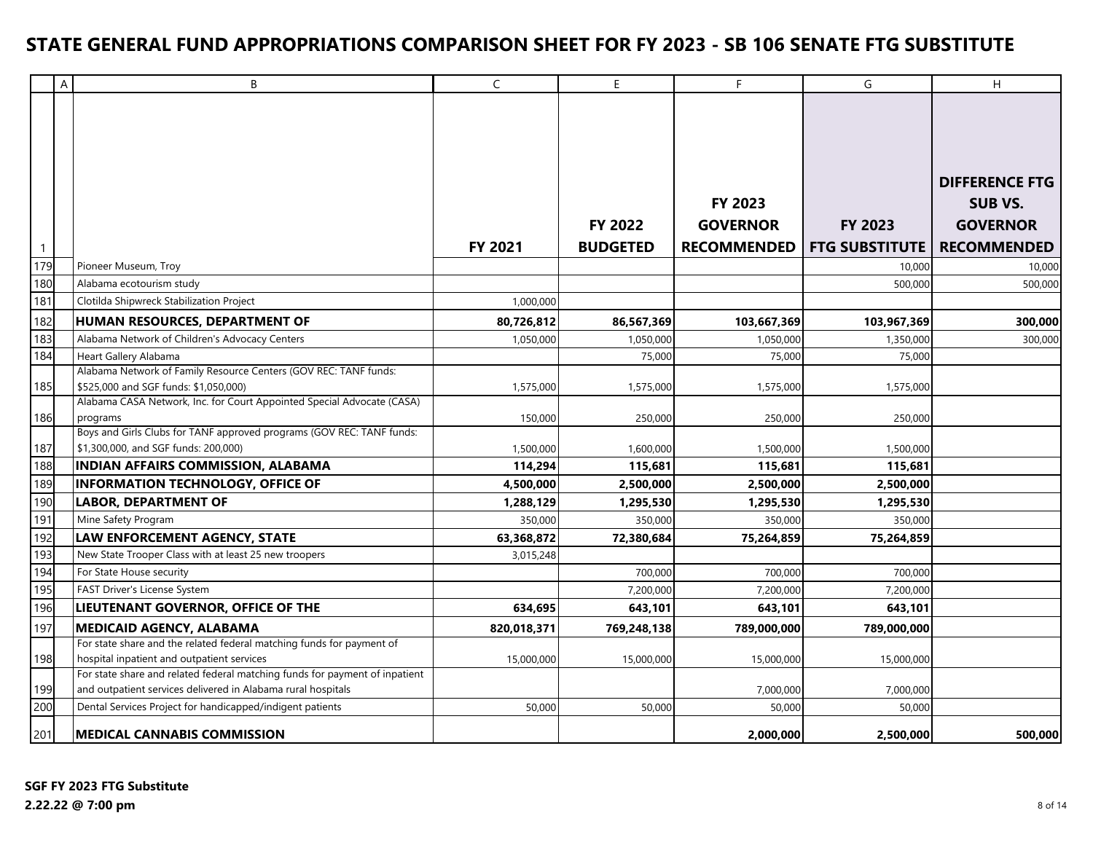|                  | A | B                                                                           | $\mathsf C$ | $\mathsf E$     | F                  | G                     | H                     |
|------------------|---|-----------------------------------------------------------------------------|-------------|-----------------|--------------------|-----------------------|-----------------------|
|                  |   |                                                                             |             |                 |                    |                       |                       |
|                  |   |                                                                             |             |                 |                    |                       |                       |
|                  |   |                                                                             |             |                 |                    |                       |                       |
|                  |   |                                                                             |             |                 |                    |                       |                       |
|                  |   |                                                                             |             |                 |                    |                       |                       |
|                  |   |                                                                             |             |                 |                    |                       | <b>DIFFERENCE FTG</b> |
|                  |   |                                                                             |             |                 | <b>FY 2023</b>     |                       | <b>SUB VS.</b>        |
|                  |   |                                                                             |             | <b>FY 2022</b>  | <b>GOVERNOR</b>    | <b>FY 2023</b>        | <b>GOVERNOR</b>       |
| $\overline{1}$   |   |                                                                             | FY 2021     | <b>BUDGETED</b> | <b>RECOMMENDED</b> | <b>FTG SUBSTITUTE</b> | <b>RECOMMENDED</b>    |
| 179              |   | Pioneer Museum, Troy                                                        |             |                 |                    | 10,000                | 10,000                |
| 180              |   | Alabama ecotourism study                                                    |             |                 |                    | 500,000               | 500,000               |
| 181              |   | Clotilda Shipwreck Stabilization Project                                    | 1,000,000   |                 |                    |                       |                       |
|                  |   | HUMAN RESOURCES, DEPARTMENT OF                                              | 80,726,812  | 86,567,369      | 103,667,369        |                       |                       |
| 182<br>183       |   | Alabama Network of Children's Advocacy Centers                              |             |                 |                    | 103,967,369           | 300,000               |
|                  |   | Heart Gallery Alabama                                                       | 1,050,000   | 1,050,000       | 1,050,000          | 1,350,000             | 300,000               |
| 184              |   | Alabama Network of Family Resource Centers (GOV REC: TANF funds:            |             | 75,000          | 75,000             | 75,000                |                       |
| 185              |   | \$525,000 and SGF funds: \$1,050,000)                                       | 1,575,000   | 1,575,000       | 1,575,000          | 1,575,000             |                       |
|                  |   | Alabama CASA Network, Inc. for Court Appointed Special Advocate (CASA)      |             |                 |                    |                       |                       |
| 186              |   | programs                                                                    | 150,000     | 250,000         | 250,000            | 250,000               |                       |
|                  |   | Boys and Girls Clubs for TANF approved programs (GOV REC: TANF funds:       |             |                 |                    |                       |                       |
| 187              |   | \$1,300,000, and SGF funds: 200,000)                                        | 1,500,000   | 1,600,000       | 1,500,000          | 1,500,000             |                       |
| 188              |   | <b>INDIAN AFFAIRS COMMISSION, ALABAMA</b>                                   | 114,294     | 115,681         | 115,681            | 115,681               |                       |
| 189              |   | <b>INFORMATION TECHNOLOGY, OFFICE OF</b>                                    | 4,500,000   | 2,500,000       | 2,500,000          | 2,500,000             |                       |
| 190              |   | <b>LABOR, DEPARTMENT OF</b>                                                 | 1,288,129   | 1,295,530       | 1,295,530          | 1,295,530             |                       |
| $\overline{191}$ |   | Mine Safety Program                                                         | 350,000     | 350,000         | 350,000            | 350,000               |                       |
| 192              |   | LAW ENFORCEMENT AGENCY, STATE                                               | 63,368,872  | 72,380,684      | 75,264,859         | 75,264,859            |                       |
| 193              |   | New State Trooper Class with at least 25 new troopers                       | 3,015,248   |                 |                    |                       |                       |
| 194              |   | For State House security                                                    |             | 700,000         | 700,000            | 700,000               |                       |
| 195              |   | FAST Driver's License System                                                |             | 7,200,000       | 7,200,000          | 7,200,000             |                       |
| 196              |   | LIEUTENANT GOVERNOR, OFFICE OF THE                                          | 634,695     | 643,101         | 643,101            | 643,101               |                       |
| 197              |   | <b>MEDICAID AGENCY, ALABAMA</b>                                             | 820,018,371 | 769,248,138     | 789,000,000        | 789,000,000           |                       |
|                  |   | For state share and the related federal matching funds for payment of       |             |                 |                    |                       |                       |
| 198              |   | hospital inpatient and outpatient services                                  | 15,000,000  | 15,000,000      | 15,000,000         | 15,000,000            |                       |
|                  |   | For state share and related federal matching funds for payment of inpatient |             |                 |                    |                       |                       |
| 199              |   | and outpatient services delivered in Alabama rural hospitals                |             |                 | 7,000,000          | 7,000,000             |                       |
| 200              |   | Dental Services Project for handicapped/indigent patients                   | 50,000      | 50,000          | 50,000             | 50,000                |                       |
| 201              |   | MEDICAL CANNABIS COMMISSION                                                 |             |                 | 2,000,000          | 2,500,000             | 500,000               |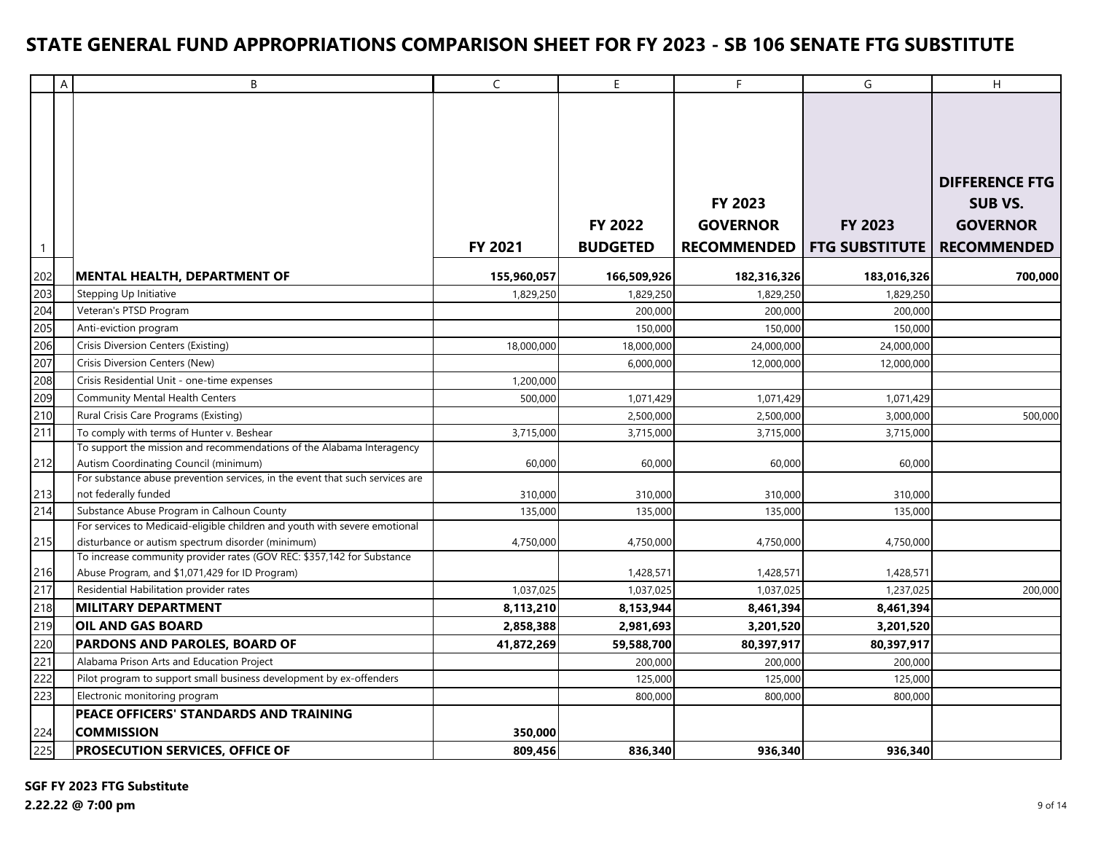|                   | A | B                                                                                                                               | $\mathsf{C}$ | E               | F                  | G                     | H                     |
|-------------------|---|---------------------------------------------------------------------------------------------------------------------------------|--------------|-----------------|--------------------|-----------------------|-----------------------|
|                   |   |                                                                                                                                 |              |                 |                    |                       |                       |
|                   |   |                                                                                                                                 |              |                 |                    |                       |                       |
|                   |   |                                                                                                                                 |              |                 |                    |                       | <b>DIFFERENCE FTG</b> |
|                   |   |                                                                                                                                 |              |                 | <b>FY 2023</b>     |                       | <b>SUB VS.</b>        |
|                   |   |                                                                                                                                 |              | <b>FY 2022</b>  | <b>GOVERNOR</b>    | <b>FY 2023</b>        | <b>GOVERNOR</b>       |
| $\mathbf{1}$      |   |                                                                                                                                 | FY 2021      | <b>BUDGETED</b> | <b>RECOMMENDED</b> | <b>FTG SUBSTITUTE</b> | <b>RECOMMENDED</b>    |
| 202               |   | MENTAL HEALTH, DEPARTMENT OF                                                                                                    | 155,960,057  | 166,509,926     | 182,316,326        | 183,016,326           | 700,000               |
| 203               |   | Stepping Up Initiative                                                                                                          | 1,829,250    | 1,829,250       | 1,829,250          | 1,829,250             |                       |
| 204               |   | Veteran's PTSD Program                                                                                                          |              | 200,000         | 200,000            | 200,000               |                       |
| 205               |   | Anti-eviction program                                                                                                           |              | 150,000         | 150,000            | 150,000               |                       |
| 206               |   | Crisis Diversion Centers (Existing)                                                                                             | 18,000,000   | 18,000,000      | 24,000,000         | 24,000,000            |                       |
| 207               |   | Crisis Diversion Centers (New)                                                                                                  |              | 6,000,000       | 12,000,000         | 12,000,000            |                       |
| 208               |   | Crisis Residential Unit - one-time expenses                                                                                     | 1,200,000    |                 |                    |                       |                       |
| 209               |   | Community Mental Health Centers                                                                                                 | 500,000      | 1,071,429       | 1,071,429          | 1,071,429             |                       |
| 210               |   | Rural Crisis Care Programs (Existing)                                                                                           |              | 2,500,000       | 2,500,000          | 3,000,000             | 500,000               |
| 211               |   | To comply with terms of Hunter v. Beshear                                                                                       | 3,715,000    | 3,715,000       | 3,715,000          | 3,715,000             |                       |
|                   |   | To support the mission and recommendations of the Alabama Interagency                                                           |              |                 |                    |                       |                       |
| 212               |   | Autism Coordinating Council (minimum)                                                                                           | 60,000       | 60,000          | 60,000             | 60,000                |                       |
|                   |   | For substance abuse prevention services, in the event that such services are                                                    |              |                 |                    |                       |                       |
| 213               |   | not federally funded                                                                                                            | 310,000      | 310,000         | 310,000            | 310,000               |                       |
| 214               |   | Substance Abuse Program in Calhoun County                                                                                       | 135,000      | 135,000         | 135,000            | 135,000               |                       |
|                   |   | For services to Medicaid-eligible children and youth with severe emotional<br>disturbance or autism spectrum disorder (minimum) |              |                 | 4,750,000          | 4,750,000             |                       |
| $215$             |   | To increase community provider rates (GOV REC: \$357,142 for Substance                                                          | 4,750,000    | 4,750,000       |                    |                       |                       |
|                   |   | Abuse Program, and \$1,071,429 for ID Program)                                                                                  |              | 1,428,571       | 1,428,571          | 1,428,571             |                       |
| $\frac{216}{217}$ |   | Residential Habilitation provider rates                                                                                         | 1,037,025    | 1,037,025       | 1,037,025          | 1,237,025             | 200,000               |
| 218               |   | <b>MILITARY DEPARTMENT</b>                                                                                                      | 8,113,210    | 8,153,944       | 8,461,394          | 8,461,394             |                       |
| 219               |   | OIL AND GAS BOARD                                                                                                               | 2,858,388    | 2,981,693       | 3,201,520          | 3,201,520             |                       |
| 220               |   | PARDONS AND PAROLES, BOARD OF                                                                                                   | 41,872,269   | 59,588,700      | 80,397,917         | 80,397,917            |                       |
| 221               |   | Alabama Prison Arts and Education Project                                                                                       |              | 200,000         | 200,000            | 200,000               |                       |
| 222               |   | Pilot program to support small business development by ex-offenders                                                             |              | 125,000         | 125,000            | 125,000               |                       |
| 223               |   | Electronic monitoring program                                                                                                   |              | 800,000         | 800,000            | 800,000               |                       |
|                   |   | <b>PEACE OFFICERS' STANDARDS AND TRAINING</b>                                                                                   |              |                 |                    |                       |                       |
| 224               |   | <b>COMMISSION</b>                                                                                                               | 350,000      |                 |                    |                       |                       |
| 225               |   | PROSECUTION SERVICES, OFFICE OF                                                                                                 | 809,456      | 836,340         | 936,340            | 936,340               |                       |

**SGF FY 2023 FTG Substitute**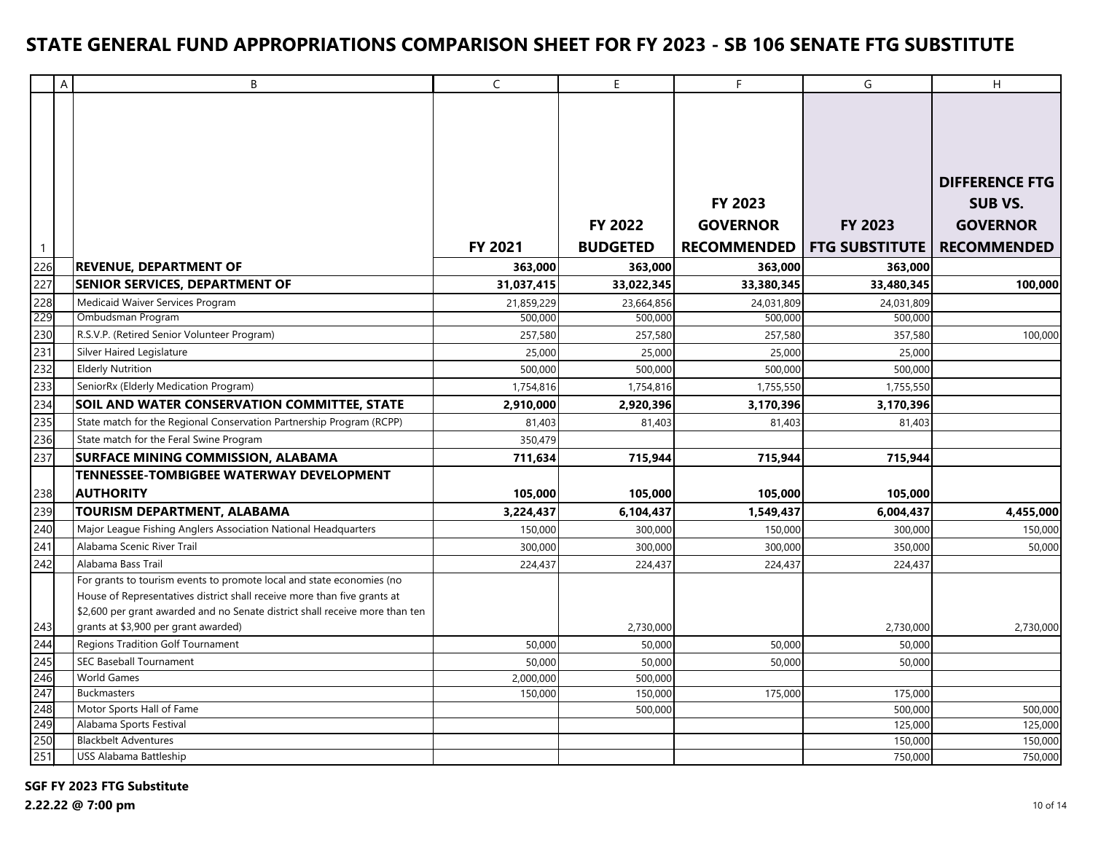|                     | $\overline{A}$ | B                                                                            | $\mathsf{C}$          | E.                    | F.                    | G                     | H.                                      |
|---------------------|----------------|------------------------------------------------------------------------------|-----------------------|-----------------------|-----------------------|-----------------------|-----------------------------------------|
|                     |                |                                                                              |                       |                       |                       |                       |                                         |
|                     |                |                                                                              |                       |                       |                       |                       |                                         |
|                     |                |                                                                              |                       |                       | <b>FY 2023</b>        |                       | <b>DIFFERENCE FTG</b><br><b>SUB VS.</b> |
|                     |                |                                                                              |                       | <b>FY 2022</b>        | <b>GOVERNOR</b>       | <b>FY 2023</b>        | <b>GOVERNOR</b>                         |
|                     |                |                                                                              | FY 2021               | <b>BUDGETED</b>       | <b>RECOMMENDED</b>    | <b>FTG SUBSTITUTE</b> | <b>RECOMMENDED</b>                      |
| $\mathbf{1}$<br>226 |                | <b>REVENUE, DEPARTMENT OF</b>                                                | 363.000               | 363,000               | 363,000               | 363,000               |                                         |
| 227                 |                | SENIOR SERVICES, DEPARTMENT OF                                               |                       | 33,022,345            |                       |                       |                                         |
| 228                 |                | Medicaid Waiver Services Program                                             | 31,037,415            |                       | 33,380,345            | 33,480,345            | 100,000                                 |
| 229                 |                | Ombudsman Program                                                            | 21,859,229<br>500,000 | 23,664,856<br>500,000 | 24,031,809<br>500,000 | 24,031,809<br>500,000 |                                         |
| 230                 |                | R.S.V.P. (Retired Senior Volunteer Program)                                  | 257,580               | 257,580               | 257,580               | 357,580               | 100,000                                 |
| 231                 |                | Silver Haired Legislature                                                    | 25,000                | 25,000                | 25,000                | 25,000                |                                         |
| 232                 |                | <b>Elderly Nutrition</b>                                                     | 500,000               | 500,000               | 500,000               | 500,000               |                                         |
| 233                 |                | SeniorRx (Elderly Medication Program)                                        | 1,754,816             | 1,754,816             | 1,755,550             | 1,755,550             |                                         |
| 234                 |                | SOIL AND WATER CONSERVATION COMMITTEE, STATE                                 | 2,910,000             | 2,920,396             | 3,170,396             | 3,170,396             |                                         |
| 235                 |                | State match for the Regional Conservation Partnership Program (RCPP)         | 81,403                | 81,403                | 81,403                | 81,403                |                                         |
| 236                 |                | State match for the Feral Swine Program                                      | 350,479               |                       |                       |                       |                                         |
| 237                 |                | <b>SURFACE MINING COMMISSION, ALABAMA</b>                                    | 711,634               | 715,944               | 715,944               | 715,944               |                                         |
|                     |                | <b>TENNESSEE-TOMBIGBEE WATERWAY DEVELOPMENT</b>                              |                       |                       |                       |                       |                                         |
| 238                 |                | <b>AUTHORITY</b>                                                             | 105,000               | 105,000               | 105,000               | 105,000               |                                         |
| 239                 |                | <b>TOURISM DEPARTMENT, ALABAMA</b>                                           | 3,224,437             | 6,104,437             | 1,549,437             | 6,004,437             | 4,455,000                               |
| 240                 |                | Major League Fishing Anglers Association National Headquarters               | 150,000               | 300,000               | 150,000               | 300,000               | 150,000                                 |
| 241                 |                | Alabama Scenic River Trail                                                   | 300,000               | 300,000               | 300,000               | 350,000               | 50,000                                  |
| 242                 |                | Alabama Bass Trail                                                           | 224,437               | 224,437               | 224,437               | 224,437               |                                         |
|                     |                | For grants to tourism events to promote local and state economies (no        |                       |                       |                       |                       |                                         |
|                     |                | House of Representatives district shall receive more than five grants at     |                       |                       |                       |                       |                                         |
|                     |                | \$2,600 per grant awarded and no Senate district shall receive more than ten |                       |                       |                       |                       |                                         |
| 243                 |                | grants at \$3,900 per grant awarded)                                         |                       | 2,730,000             |                       | 2,730,000             | 2,730,000                               |
| 244                 |                | Regions Tradition Golf Tournament                                            | 50,000                | 50,000                | 50,000                | 50,000                |                                         |
| 245                 |                | SEC Baseball Tournament                                                      | 50,000                | 50,000                | 50,000                | 50,000                |                                         |
| 246                 |                | <b>World Games</b>                                                           | 2,000,000             | 500,000               |                       |                       |                                         |
| 247                 |                | <b>Buckmasters</b>                                                           | 150,000               | 150,000               | 175,000               | 175,000               |                                         |
| 248                 |                | Motor Sports Hall of Fame                                                    |                       | 500,000               |                       | 500,000               | 500,000                                 |
| 249<br>250          |                | Alabama Sports Festival<br><b>Blackbelt Adventures</b>                       |                       |                       |                       | 125,000               | 125,000                                 |
| 251                 |                | USS Alabama Battleship                                                       |                       |                       |                       | 150,000<br>750,000    | 150,000<br>750,000                      |
|                     |                |                                                                              |                       |                       |                       |                       |                                         |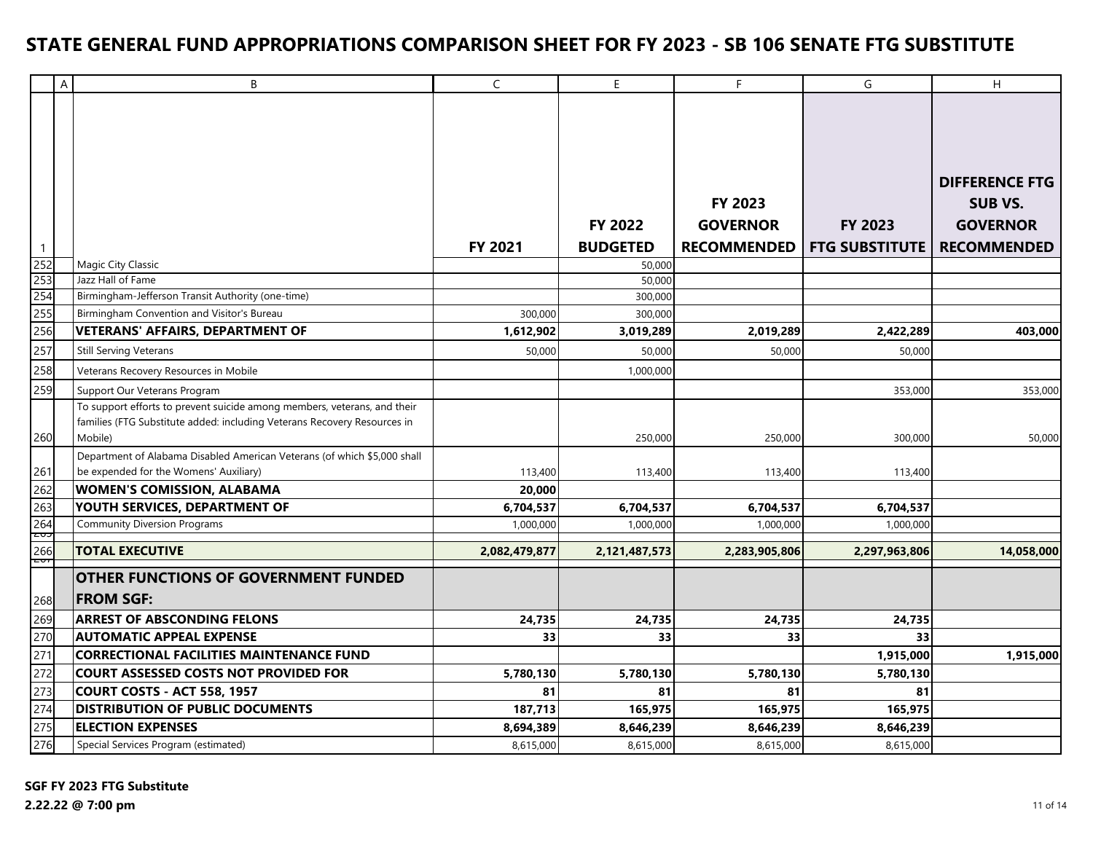|                   | A | B                                                                                                                  | $\mathsf{C}$  | E               | F                  | G                     | H                     |
|-------------------|---|--------------------------------------------------------------------------------------------------------------------|---------------|-----------------|--------------------|-----------------------|-----------------------|
|                   |   |                                                                                                                    |               |                 |                    |                       |                       |
|                   |   |                                                                                                                    |               |                 |                    |                       |                       |
|                   |   |                                                                                                                    |               |                 |                    |                       |                       |
|                   |   |                                                                                                                    |               |                 |                    |                       |                       |
|                   |   |                                                                                                                    |               |                 |                    |                       | <b>DIFFERENCE FTG</b> |
|                   |   |                                                                                                                    |               |                 | <b>FY 2023</b>     |                       | SUB VS.               |
|                   |   |                                                                                                                    |               | FY 2022         | <b>GOVERNOR</b>    | FY 2023               | <b>GOVERNOR</b>       |
| $\mathbf{1}$      |   |                                                                                                                    | FY 2021       | <b>BUDGETED</b> | <b>RECOMMENDED</b> | <b>FTG SUBSTITUTE</b> | <b>RECOMMENDED</b>    |
| 252<br>253<br>254 |   | Magic City Classic                                                                                                 |               | 50,000          |                    |                       |                       |
|                   |   | Jazz Hall of Fame                                                                                                  |               | 50,000          |                    |                       |                       |
|                   |   | Birmingham-Jefferson Transit Authority (one-time)                                                                  |               | 300,000         |                    |                       |                       |
| 255               |   | Birmingham Convention and Visitor's Bureau                                                                         | 300,000       | 300,000         |                    |                       |                       |
| 256               |   | <b>VETERANS' AFFAIRS, DEPARTMENT OF</b>                                                                            | 1,612,902     | 3,019,289       | 2,019,289          | 2,422,289             | 403,000               |
| 257               |   | <b>Still Serving Veterans</b>                                                                                      | 50,000        | 50,000          | 50,000             | 50,000                |                       |
| 258               |   | Veterans Recovery Resources in Mobile                                                                              |               | 1,000,000       |                    |                       |                       |
| 259               |   | Support Our Veterans Program                                                                                       |               |                 |                    | 353,000               | 353,000               |
|                   |   | To support efforts to prevent suicide among members, veterans, and their                                           |               |                 |                    |                       |                       |
|                   |   | families (FTG Substitute added: including Veterans Recovery Resources in                                           |               |                 |                    |                       |                       |
| 260               |   | Mobile)                                                                                                            |               | 250,000         | 250,000            | 300,000               | 50,000                |
| 261               |   | Department of Alabama Disabled American Veterans (of which \$5,000 shall<br>be expended for the Womens' Auxiliary) | 113,400       | 113,400         | 113,400            | 113,400               |                       |
| 262               |   | <b>WOMEN'S COMISSION, ALABAMA</b>                                                                                  | 20,000        |                 |                    |                       |                       |
| 263               |   | YOUTH SERVICES, DEPARTMENT OF                                                                                      | 6,704,537     | 6,704,537       | 6,704,537          | 6,704,537             |                       |
|                   |   | <b>Community Diversion Programs</b>                                                                                | 1,000,000     | 1,000,000       | 1,000,000          | 1,000,000             |                       |
| $\frac{264}{205}$ |   |                                                                                                                    |               |                 |                    |                       |                       |
| zv,               |   | <b>TOTAL EXECUTIVE</b>                                                                                             | 2,082,479,877 | 2,121,487,573   | 2,283,905,806      | 2,297,963,806         | 14,058,000            |
|                   |   | <b>OTHER FUNCTIONS OF GOVERNMENT FUNDED</b>                                                                        |               |                 |                    |                       |                       |
| 268               |   | <b>FROM SGF:</b>                                                                                                   |               |                 |                    |                       |                       |
| 269               |   | <b>ARREST OF ABSCONDING FELONS</b>                                                                                 | 24,735        | 24,735          | 24,735             | 24,735                |                       |
| 270               |   | <b>AUTOMATIC APPEAL EXPENSE</b>                                                                                    | 33            | 33              | 33                 | 33                    |                       |
| 271               |   | <b>CORRECTIONAL FACILITIES MAINTENANCE FUND</b>                                                                    |               |                 |                    | 1,915,000             | 1,915,000             |
| 272               |   | <b>COURT ASSESSED COSTS NOT PROVIDED FOR</b>                                                                       | 5,780,130     | 5,780,130       | 5,780,130          | 5,780,130             |                       |
| 273               |   | <b>COURT COSTS - ACT 558, 1957</b>                                                                                 | 81            | 81              | 81                 | 81                    |                       |
| 274               |   | DISTRIBUTION OF PUBLIC DOCUMENTS                                                                                   | 187,713       | 165,975         | 165,975            | 165,975               |                       |
| 275               |   | <b>ELECTION EXPENSES</b>                                                                                           | 8,694,389     | 8,646,239       | 8,646,239          | 8,646,239             |                       |
| 276               |   | Special Services Program (estimated)                                                                               | 8,615,000     | 8,615,000       | 8,615,000          | 8,615,000             |                       |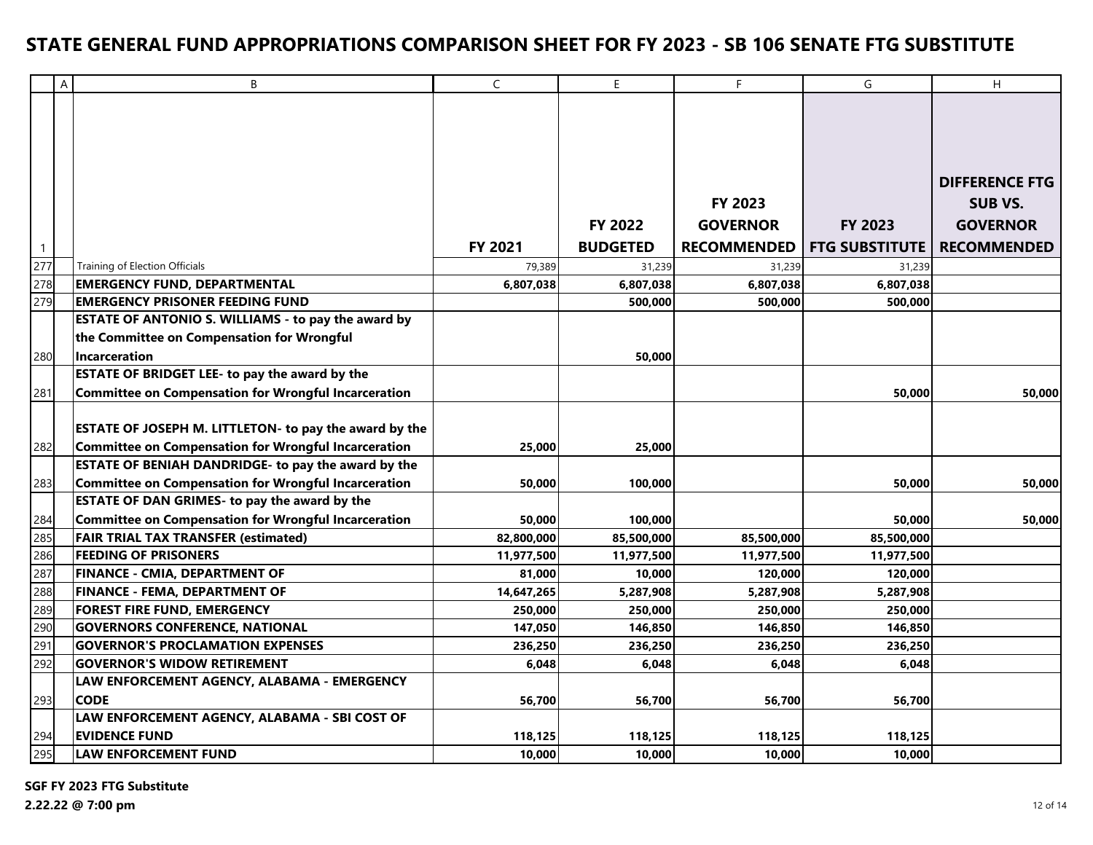|                | A | B                                                           | $\mathsf{C}$ | E               | F                  | G                     | H                     |
|----------------|---|-------------------------------------------------------------|--------------|-----------------|--------------------|-----------------------|-----------------------|
|                |   |                                                             |              |                 |                    |                       |                       |
|                |   |                                                             |              |                 |                    |                       |                       |
|                |   |                                                             |              |                 |                    |                       |                       |
|                |   |                                                             |              |                 |                    |                       |                       |
|                |   |                                                             |              |                 |                    |                       | <b>DIFFERENCE FTG</b> |
|                |   |                                                             |              |                 | FY 2023            |                       | <b>SUB VS.</b>        |
|                |   |                                                             |              | <b>FY 2022</b>  | <b>GOVERNOR</b>    | <b>FY 2023</b>        | <b>GOVERNOR</b>       |
| $\overline{1}$ |   |                                                             | FY 2021      | <b>BUDGETED</b> | <b>RECOMMENDED</b> | <b>FTG SUBSTITUTE</b> | <b>RECOMMENDED</b>    |
| 277            |   | Training of Election Officials                              | 79,389       | 31,239          | 31,239             | 31,239                |                       |
| 278            |   | <b>EMERGENCY FUND, DEPARTMENTAL</b>                         | 6,807,038    | 6,807,038       | 6,807,038          | 6,807,038             |                       |
| 279            |   | <b>EMERGENCY PRISONER FEEDING FUND</b>                      |              | 500,000         | 500,000            | 500,000               |                       |
|                |   | ESTATE OF ANTONIO S. WILLIAMS - to pay the award by         |              |                 |                    |                       |                       |
|                |   | the Committee on Compensation for Wrongful                  |              |                 |                    |                       |                       |
| 280            |   | <b>Incarceration</b>                                        |              | 50,000          |                    |                       |                       |
|                |   | ESTATE OF BRIDGET LEE- to pay the award by the              |              |                 |                    |                       |                       |
| 281            |   | <b>Committee on Compensation for Wrongful Incarceration</b> |              |                 |                    | 50,000                | 50,000                |
|                |   |                                                             |              |                 |                    |                       |                       |
|                |   | ESTATE OF JOSEPH M. LITTLETON- to pay the award by the      |              |                 |                    |                       |                       |
| 282            |   | <b>Committee on Compensation for Wrongful Incarceration</b> | 25,000       | 25,000          |                    |                       |                       |
|                |   | ESTATE OF BENIAH DANDRIDGE- to pay the award by the         |              |                 |                    |                       |                       |
| 283            |   | <b>Committee on Compensation for Wrongful Incarceration</b> | 50,000       | 100,000         |                    | 50,000                | 50,000                |
|                |   | <b>ESTATE OF DAN GRIMES- to pay the award by the</b>        |              |                 |                    |                       |                       |
| 284            |   | <b>Committee on Compensation for Wrongful Incarceration</b> | 50,000       | 100,000         |                    | 50,000                | 50,000                |
| 285            |   | <b>FAIR TRIAL TAX TRANSFER (estimated)</b>                  | 82,800,000   | 85,500,000      | 85,500,000         | 85,500,000            |                       |
| 286            |   | <b>FEEDING OF PRISONERS</b>                                 | 11,977,500   | 11,977,500      | 11,977,500         | 11,977,500            |                       |
| 287            |   | <b>FINANCE - CMIA, DEPARTMENT OF</b>                        | 81,000       | 10,000          | 120,000            | 120,000               |                       |
| 288            |   | FINANCE - FEMA, DEPARTMENT OF                               | 14,647,265   | 5,287,908       | 5,287,908          | 5,287,908             |                       |
| 289            |   | FOREST FIRE FUND, EMERGENCY                                 | 250,000      | 250,000         | 250,000            | 250,000               |                       |
| 290            |   | <b>GOVERNORS CONFERENCE, NATIONAL</b>                       | 147,050      | 146,850         | 146,850            | 146,850               |                       |
| 291            |   | <b>GOVERNOR'S PROCLAMATION EXPENSES</b>                     | 236,250      | 236,250         | 236,250            | 236,250               |                       |
| 292            |   | <b>GOVERNOR'S WIDOW RETIREMENT</b>                          | 6,048        | 6,048           | 6,048              | 6,048                 |                       |
|                |   | LAW ENFORCEMENT AGENCY, ALABAMA - EMERGENCY                 |              |                 |                    |                       |                       |
| 293            |   | <b>CODE</b>                                                 | 56,700       | 56,700          | 56,700             | 56,700                |                       |
|                |   | LAW ENFORCEMENT AGENCY, ALABAMA - SBI COST OF               |              |                 |                    |                       |                       |
| 294            |   | <b>EVIDENCE FUND</b>                                        | 118,125      | 118,125         | 118,125            | 118,125               |                       |
| 295            |   | <b>LAW ENFORCEMENT FUND</b>                                 | 10,000       | 10,000          | 10,000             | 10,000                |                       |

**SGF FY 2023 FTG Substitute**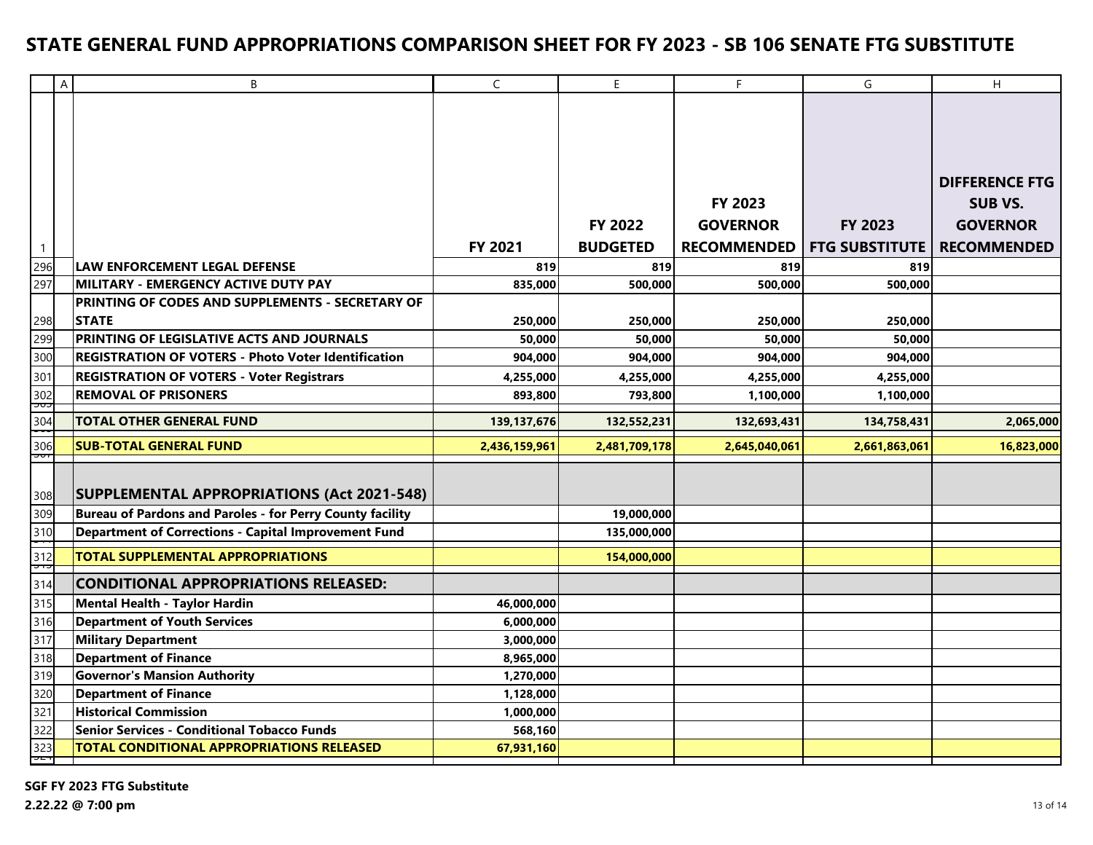|                     | $\overline{A}$ | B                                                                | $\mathsf{C}$         | E                    | F                      | G                      | H                     |
|---------------------|----------------|------------------------------------------------------------------|----------------------|----------------------|------------------------|------------------------|-----------------------|
|                     |                |                                                                  |                      |                      |                        |                        |                       |
|                     |                |                                                                  |                      |                      |                        |                        |                       |
|                     |                |                                                                  |                      |                      |                        |                        |                       |
|                     |                |                                                                  |                      |                      |                        |                        |                       |
|                     |                |                                                                  |                      |                      |                        |                        | <b>DIFFERENCE FTG</b> |
|                     |                |                                                                  |                      |                      | <b>FY 2023</b>         |                        | <b>SUB VS.</b>        |
|                     |                |                                                                  |                      | <b>FY 2022</b>       | <b>GOVERNOR</b>        | FY 2023                | <b>GOVERNOR</b>       |
|                     |                |                                                                  | FY 2021              | <b>BUDGETED</b>      | <b>RECOMMENDED</b>     | <b>FTG SUBSTITUTE</b>  | <b>RECOMMENDED</b>    |
| $\mathbf{1}$<br>296 |                | <b>LAW ENFORCEMENT LEGAL DEFENSE</b>                             | 819                  | 819                  | 819                    | 819                    |                       |
| 297                 |                | MILITARY - EMERGENCY ACTIVE DUTY PAY                             |                      |                      | 500,000                |                        |                       |
|                     |                | PRINTING OF CODES AND SUPPLEMENTS - SECRETARY OF                 | 835,000              | 500,000              |                        | 500,000                |                       |
| 298                 |                | <b>STATE</b>                                                     | 250,000              | 250,000              | 250,000                | 250,000                |                       |
| 299                 |                | PRINTING OF LEGISLATIVE ACTS AND JOURNALS                        | 50,000               | 50,000               | 50,000                 | 50,000                 |                       |
| 300                 |                | <b>REGISTRATION OF VOTERS - Photo Voter Identification</b>       | 904,000              | 904,000              | 904,000                | 904,000                |                       |
|                     |                | <b>REGISTRATION OF VOTERS - Voter Registrars</b>                 |                      |                      |                        |                        |                       |
| 301<br>302          |                | <b>REMOVAL OF PRISONERS</b>                                      | 4,255,000<br>893,800 | 4,255,000<br>793,800 | 4,255,000<br>1,100,000 | 4,255,000<br>1,100,000 |                       |
| ပေ                  |                |                                                                  |                      |                      |                        |                        |                       |
| 304                 |                | <b>TOTAL OTHER GENERAL FUND</b>                                  | 139,137,676          | 132,552,231          | 132,693,431            | 134,758,431            | 2,065,000             |
| 306<br>יטכ          |                | <b>SUB-TOTAL GENERAL FUND</b>                                    | 2,436,159,961        | 2,481,709,178        | 2,645,040,061          | 2,661,863,061          | 16,823,000            |
|                     |                |                                                                  |                      |                      |                        |                        |                       |
|                     |                | <b>SUPPLEMENTAL APPROPRIATIONS (Act 2021-548)</b>                |                      |                      |                        |                        |                       |
| 308<br>309          |                | <b>Bureau of Pardons and Paroles - for Perry County facility</b> |                      | 19,000,000           |                        |                        |                       |
| 310                 |                | <b>Department of Corrections - Capital Improvement Fund</b>      |                      | 135,000,000          |                        |                        |                       |
|                     |                |                                                                  |                      |                      |                        |                        |                       |
| 312                 |                | <b>TOTAL SUPPLEMENTAL APPROPRIATIONS</b>                         |                      | 154,000,000          |                        |                        |                       |
| 314                 |                | <b>CONDITIONAL APPROPRIATIONS RELEASED:</b>                      |                      |                      |                        |                        |                       |
| 315                 |                | <b>Mental Health - Taylor Hardin</b>                             | 46,000,000           |                      |                        |                        |                       |
| 316                 |                | <b>Department of Youth Services</b>                              | 6,000,000            |                      |                        |                        |                       |
| 317                 |                | <b>Military Department</b>                                       | 3,000,000            |                      |                        |                        |                       |
| 318                 |                | <b>Department of Finance</b>                                     | 8,965,000            |                      |                        |                        |                       |
| 319                 |                | <b>Governor's Mansion Authority</b>                              | 1,270,000            |                      |                        |                        |                       |
| 320                 |                | <b>Department of Finance</b>                                     | 1,128,000            |                      |                        |                        |                       |
| $\overline{321}$    |                | <b>Historical Commission</b>                                     | 1,000,000            |                      |                        |                        |                       |
| 322                 |                | <b>Senior Services - Conditional Tobacco Funds</b>               | 568,160              |                      |                        |                        |                       |
| 323<br>고대           |                | <b>TOTAL CONDITIONAL APPROPRIATIONS RELEASED</b>                 | 67,931,160           |                      |                        |                        |                       |
|                     |                |                                                                  |                      |                      |                        |                        |                       |